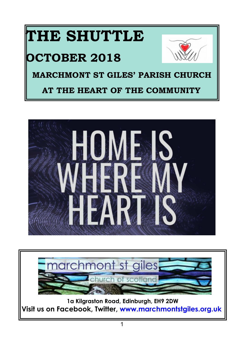# **THE SHUTTLE**

# **OCTOBER 2018**



**MARCHMONT ST GILES' PARISH CHURCH**

## **AT THE HEART OF THE COMMUNITY**





**1a Kilgraston Road, Edinburgh, EH9 2DW Visit us on Facebook, Twitter, www.marchmontstgiles.org.uk**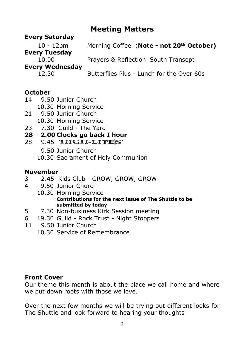#### **Meeting Matters**

#### **Every Saturday**

10 - 12pm Morning Coffee (**Note - not 20th October) Every Tuesday** 10.00 Prayers & Reflection South Transept **Every Wednesday** Butterflies Plus - Lunch for the Over 60s

#### **October**

- 14 9.50 Junior Church
	- 10.30 Morning Service
- 21 9.50 Junior Church
- 10.30 Morning Service
- 23 7.30 Guild The Yard
- **28 2.00 Clocks go back I hour**
- 28 9.45 'HIGH-LITES'
	- 9.50 Junior Church
	- 10.30 Sacrament of Holy Communion

#### **November**

- 3 2.45 Kids Club GROW, GROW, GROW
- 4 9.50 Junior Church
	- 10.30 Morning Service **Contributions for the next issue of The Shuttle to be submitted by today**
- 5 7.30 Non-business Kirk Session meeting
- 6 19.30 Guild Rock Trust Night Stoppers
- 11 9.50 Junior Church
	- 10.30 Service of Remembrance

#### **Front Cover**

Our theme this month is about the place we call home and where we put down roots with those we love.

Over the next few months we will be trying out different looks for The Shuttle and look forward to hearing your thoughts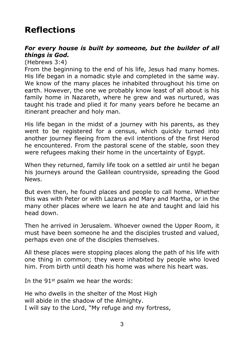## **Reflections**

#### *For every house is built by someone, but the builder of all things is God.*

(Hebrews 3:4)

From the beginning to the end of his life, Jesus had many homes. His life began in a nomadic style and completed in the same way. We know of the many places he inhabited throughout his time on earth. However, the one we probably know least of all about is his family home in Nazareth, where he grew and was nurtured, was taught his trade and plied it for many years before he became an itinerant preacher and holy man.

His life began in the midst of a journey with his parents, as they went to be registered for a census, which quickly turned into another journey fleeing from the evil intentions of the first Herod he encountered. From the pastoral scene of the stable, soon they were refugees making their home in the uncertainty of Egypt.

When they returned, family life took on a settled air until he began his journeys around the Galilean countryside, spreading the Good News.

But even then, he found places and people to call home. Whether this was with Peter or with Lazarus and Mary and Martha, or in the many other places where we learn he ate and taught and laid his head down.

Then he arrived in Jerusalem. Whoever owned the Upper Room, it must have been someone he and the disciples trusted and valued, perhaps even one of the disciples themselves.

All these places were stopping places along the path of his life with one thing in common; they were inhabited by people who loved him. From birth until death his home was where his heart was.

In the 91<sup>st</sup> psalm we hear the words:

He who dwells in the shelter of the Most High will abide in the shadow of the Almighty. I will say to the Lord, "My refuge and my fortress,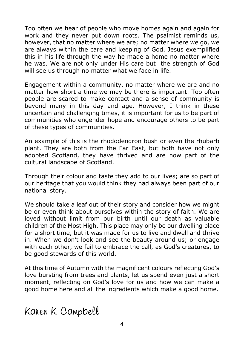Too often we hear of people who move homes again and again for work and they never put down roots. The psalmist reminds us, however, that no matter where we are; no matter where we go, we are always within the care and keeping of God. Jesus exemplified this in his life through the way he made a home no matter where he was. We are not only under His care but the strength of God will see us through no matter what we face in life.

Engagement within a community, no matter where we are and no matter how short a time we may be there is important. Too often people are scared to make contact and a sense of community is beyond many in this day and age. However, I think in these uncertain and challenging times, it is important for us to be part of communities who engender hope and encourage others to be part of these types of communities.

An example of this is the rhododendron bush or even the rhubarb plant. They are both from the Far East, but both have not only adopted Scotland, they have thrived and are now part of the cultural landscape of Scotland.

Through their colour and taste they add to our lives; are so part of our heritage that you would think they had always been part of our national story.

We should take a leaf out of their story and consider how we might be or even think about ourselves within the story of faith. We are loved without limit from our birth until our death as valuable children of the Most High. This place may only be our dwelling place for a short time, but it was made for us to live and dwell and thrive in. When we don't look and see the beauty around us; or engage with each other, we fail to embrace the call, as God's creatures, to be good stewards of this world.

At this time of Autumn with the magnificent colours reflecting God's love bursting from trees and plants, let us spend even just a short moment, reflecting on God's love for us and how we can make a good home here and all the ingredients which make a good home.

# Karen K Campbell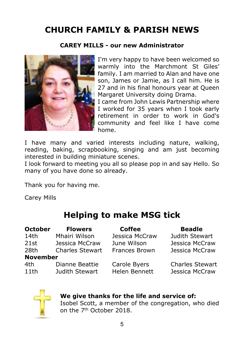# **CHURCH FAMILY & PARISH NEWS**

#### **CAREY MILLS - our new Administrator**



I'm very happy to have been welcomed so warmly into the Marchmont St Giles' family. I am married to Alan and have one son, James or Jamie, as I call him. He is 27 and in his final honours year at Queen Margaret University doing Drama.

I came from John Lewis Partnership where I worked for 35 years when I took early retirement in order to work in God's community and feel like I have come home.

I have many and varied interests including nature, walking, reading, baking, scrapbooking, singing and am just becoming interested in building miniature scenes.

I look forward to meeting you all so please pop in and say Hello. So many of you have done so already.

Thank you for having me.

Carey Mills

# **Helping to make MSG tick**

| Judith Stewart         |
|------------------------|
| Jessica McCraw         |
| Jessica McCraw         |
|                        |
| <b>Charles Stewart</b> |
| Jessica McCraw         |
|                        |



#### **We give thanks for the life and service of:**

Isobel Scott, a member of the congregation, who died on the 7<sup>th</sup> October 2018.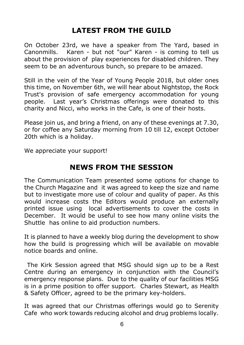#### **LATEST FROM THE GUILD**

On October 23rd, we have a speaker from The Yard, based in Canonmills. Karen - but not "our" Karen - is coming to tell us about the provision of play experiences for disabled children. They seem to be an adventurous bunch, so prepare to be amazed.

Still in the vein of the Year of Young People 2018, but older ones this time, on November 6th, we will hear about Nightstop, the Rock Trust's provision of safe emergency accommodation for young people. Last year's Christmas offerings were donated to this charity and Nicci, who works in the Cafe, is one of their hosts.

Please join us, and bring a friend, on any of these evenings at 7.30, or for coffee any Saturday morning from 10 till 12, except October 20th which is a holiday.

We appreciate your support!

#### **NEWS FROM THE SESSION**

The Communication Team presented some options for change to the Church Magazine and it was agreed to keep the size and name but to investigate more use of colour and quality of paper. As this would increase costs the Editors would produce an externally printed issue using local advertisements to cover the costs in December. It would be useful to see how many online visits the Shuttle has online to aid production numbers.

It is planned to have a weekly blog during the development to show how the build is progressing which will be available on movable notice boards and online.

 The Kirk Session agreed that MSG should sign up to be a Rest Centre during an emergency in conjunction with the Council's emergency response plans. Due to the quality of our facilities MSG is in a prime position to offer support. Charles Stewart, as Health & Safety Officer, agreed to be the primary key-holders.

It was agreed that our Christmas offerings would go to Serenity Cafe who work towards reducing alcohol and drug problems locally.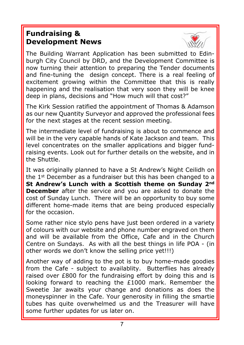#### **Fundraising & Development News**



The Building Warrant Application has been submitted to Edinburgh City Council by DRD, and the Development Committee is now turning their attention to preparing the Tender documents and fine-tuning the design concept. There is a real feeling of excitement growing within the Committee that this is really happening and the realisation that very soon they will be knee deep in plans, decisions and "How much will that cost?"

The Kirk Session ratified the appointment of Thomas & Adamson as our new Quantity Surveyor and approved the professional fees for the next stages at the recent session meeting.

The intermediate level of fundraising is about to commence and will be in the very capable hands of Kate Jackson and team. This level concentrates on the smaller applications and bigger fundraising events. Look out for further details on the website, and in the Shuttle.

It was originally planned to have a St Andrew's Night Ceilidh on the 1st December as a fundraiser but this has been changed to a **St Andrew's Lunch with a Scottish theme on Sunday 2nd December** after the service and you are asked to donate the cost of Sunday Lunch. There will be an opportunity to buy some different home-made items that are being produced especially for the occasion.

Some rather nice stylo pens have just been ordered in a variety of colours with our website and phone number engraved on them and will be available from the Office, Cafe and in the Church Centre on Sundays. As with all the best things in life POA - (in other words we don't know the selling price yet!!!)

Another way of adding to the pot is to buy home-made goodies from the Cafe - subject to availablity. Butterflies has already raised over £800 for the fundraising effort by doing this and is looking forward to reaching the £1000 mark. Remember the Sweetie Jar awaits your change and donations as does the moneyspinner in the Cafe. Your generosity in filling the smartie tubes has quite overwhelmed us and the Treasurer will have some further updates for us later on.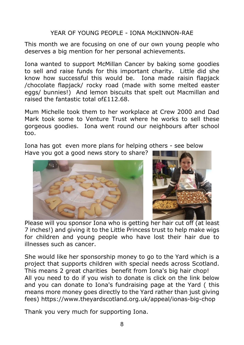#### YEAR OF YOUNG PEOPLE - IONA MCKINNON-RAE

This month we are focusing on one of our own young people who deserves a big mention for her personal achievements.

Iona wanted to support McMillan Cancer by baking some goodies to sell and raise funds for this important charity. Little did she know how successful this would be. Iona made raisin flapjack /chocolate flapjack/ rocky road (made with some melted easter eggs/ bunnies!) And lemon biscuits that spelt out Macmillan and raised the fantastic total of£112.68.

Mum Michelle took them to her workplace at Crew 2000 and Dad Mark took some to Venture Trust where he works to sell these gorgeous goodies. Iona went round our neighbours after school too.

Iona has got even more plans for helping others - see below Have you got a good news story to share?





Please will you sponsor Iona who is getting her hair cut off (at least 7 inches!) and giving it to the Little Princess trust to help make wigs for children and young people who have lost their hair due to illnesses such as cancer.

She would like her sponsorship money to go to the Yard which is a project that supports children with special needs across Scotland. This means 2 great charities benefit from Iona's big hair chop! All you need to do if you wish to donate is click on the link below and you can donate to Iona's fundraising page at the Yard ( this means more money goes directly to the Yard rather than just giving fees) https://www.theyardscotland.org.uk/appeal/ionas-big-chop

Thank you very much for supporting Iona.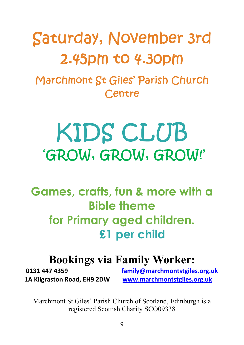# Saturday, November 3rd 2.45pm to 4.30pm

Marchmont St Giles' Parish Church Centre

# KIDS CLUB 'GROW, GROW, GROW!'

**Games, crafts, fun & more with a Bible theme for Primary aged children. £1 per child**

# **Bookings via Family Worker:**

**0131 447 4359 family@marchmontstgiles.org.uk 1A Kilgraston Road, EH9 2DW www.marchmontstgiles.org.uk**

Marchmont St Giles' Parish Church of Scotland, Edinburgh is a registered Scottish Charity SCO09338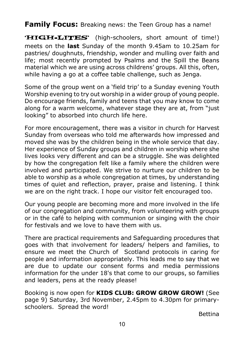**Family Focus:** Breaking news: the Teen Group has a name!

'HIGH-LITES' (high-schoolers, short amount of time!) meets on the **last** Sunday of the month 9.45am to 10.25am for pastries/ doughnuts, friendship, wonder and mulling over faith and life; most recently prompted by Psalms and the Spill the Beans material which we are using across childrens' groups. All this, often, while having a go at a coffee table challenge, such as Jenga.

Some of the group went on a 'field trip' to a Sunday evening Youth Worship evening to try out worship in a wider group of young people. Do encourage friends, family and teens that you may know to come along for a warm welcome, whatever stage they are at, from "just looking" to absorbed into church life here.

For more encouragement, there was a visitor in church for Harvest Sunday from overseas who told me afterwards how impressed and moved she was by the children being in the whole service that day. Her experience of Sunday groups and children in worship where she lives looks very different and can be a struggle. She was delighted by how the congregation felt like a family where the children were involved and participated. We strive to nurture our children to be able to worship as a whole congregation at times, by understanding times of quiet and reflection, prayer, praise and listening. I think we are on the right track. I hope our visitor felt encouraged too.

Our young people are becoming more and more involved in the life of our congregation and community, from volunteering with groups or in the café to helping with communion or singing with the choir for festivals and we love to have them with us.

There are practical requirements and Safeguarding procedures that goes with that involvement for leaders/ helpers and families, to ensure we meet the Church of Scotland protocols in caring for people and information appropriately. This leads me to say that we are due to update our consent forms and media permissions information for the under 18's that come to our groups, so families and leaders, pens at the ready please!

Booking is now open for **KIDS CLUB: GROW GROW GROW!** (See page 9) Saturday, 3rd November, 2.45pm to 4.30pm for primaryschoolers. Spread the word!

Bettina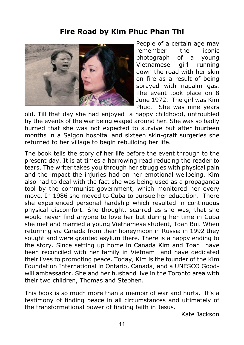#### **Fire Road by Kim Phuc Phan Thi**



People of a certain age may remember the iconic photograph of a young Vietnamese girl running down the road with her skin on fire as a result of being sprayed with napalm gas. The event took place on 8 June 1972. The girl was Kim Phuc. She was nine years

old. Till that day she had enjoyed a happy childhood, untroubled by the events of the war being waged around her. She was so badly burned that she was not expected to survive but after fourteen months in a Saigon hospital and sixteen skin-graft surgeries she returned to her village to begin rebuilding her life.

The book tells the story of her life before the event through to the present day. It is at times a harrowing read reducing the reader to tears. The writer takes you through her struggles with physical pain and the impact the injuries had on her emotional wellbeing. Kim also had to deal with the fact she was being used as a propaganda tool by the communist government, which monitored her every move. In 1986 she moved to Cuba to pursue her education. There she experienced personal hardship which resulted in continuous physical discomfort. She thought, scarred as she was, that she would never find anyone to love her but during her time in Cuba she met and married a young Vietnamese student, Toan Bui. When returning via Canada from their honeymoon in Russia in 1992 they sought and were granted asylum there. There is a happy ending to the story. Since setting up home in Canada Kim and Toan have been reconciled with her family in Vietnam and have dedicated their lives to promoting peace. Today, Kim is the founder of the Kim Foundation International in Ontario, Canada, and a UNESCO Goodwill ambassador. She and her husband live in the Toronto area with their two children, Thomas and Stephen.

This book is so much more than a memoir of war and hurts. It's a testimony of finding peace in all circumstances and ultimately of the transformational power of finding faith in Jesus.

Kate Jackson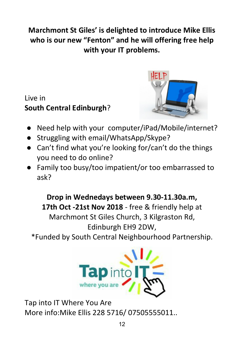**Marchmont St Giles' is delighted to introduce Mike Ellis who is our new "Fenton" and he will offering free help with your IT problems.**

Live in **South Central Edinburgh**?



- Need help with your computer/iPad/Mobile/internet?
- Struggling with email/WhatsApp/Skype?
- Can't find what you're looking for/can't do the things you need to do online?
- Family too busy/too impatient/or too embarrassed to ask?

**Drop in Wednedays between 9.30-11.30a.m, 17th Oct -21st Nov 2018** - free & friendly help at Marchmont St Giles Church, 3 Kilgraston Rd, Edinburgh EH9 2DW,

\*Funded by South Central Neighbourhood Partnership.



Tap into IT Where You Are More info:Mike Ellis 228 5716/ 07505555011..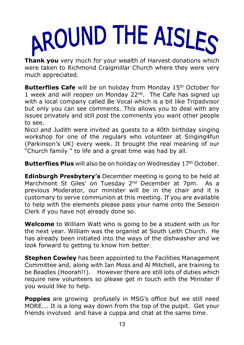# AROUND THE AISLES

**Thank you** very much for your wealth of Harvest donations which were taken to Richmond Craigmillar Church where they were very much appreciated.

**Butterflies Cafe** will be on holiday from Monday 15<sup>th</sup> October for 1 week and will reopen on Monday 22<sup>nd</sup>. The Cafe has signed up with a local company called Be Vocal which is a bit like Tripadvisor but only you can see comments. This allows you to deal with any issues privately and still post the comments you want other people to see.

Nicci and Judith were invited as guests to a 40th birthday singing workshop for one of the regulars who volunteer at Singing4fun (Parkinson's UK) every week. It brought the real meaning of our "Church family " to life and a great time was had by all.

**Butterflies Plus** will also be on holiday on Wednesday 17<sup>th</sup> October.

**Edinburgh Presbytery's** December meeting is going to be held at Marchmont St Giles' on Tuesday 2<sup>nd</sup> December at 7pm. As a previous Moderator, our minister will be in the chair and it is customary to serve communion at this meeting. If you are available to help with the elements please pass your name onto the Session Clerk if you have not already done so.

**Welcome** to William Watt who is going to be a student with us for the next year. William was the organist at South Leith Church. He has already been initiated into the ways of the dishwasher and we look forward to getting to know him better.

**Stephen Cowley** has been appointed to the Facilities Management Committee and, along with Ian Moss and Al Mitchell, are training to be Beadles (Hoorah!!). However there are still lots of duties which require new volunteers so please get in touch with the Minister if you would like to help.

**Poppies** are growing profusely in MSG's office but we still need MORE…. It is a long way down from the top of the pulpit. Get your friends involved and have a cuppa and chat at the same time.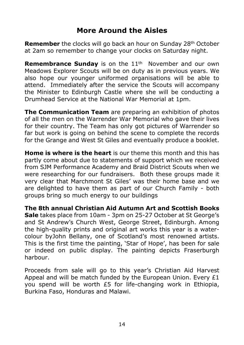#### **More Around the Aisles**

**Remember** the clocks will go back an hour on Sunday 28<sup>th</sup> October at 2am so remember to change your clocks on Saturday night.

**Remembrance Sunday** is on the 11<sup>th</sup> November and our own Meadows Explorer Scouts will be on duty as in previous years. We also hope our younger uniformed organisations will be able to attend. Immediately after the service the Scouts will accompany the Minister to Edinburgh Castle where she will be conducting a Drumhead Service at the National War Memorial at 1pm.

**The Communication Team** are preparing an exhibition of photos of all the men on the Warrender War Memorial who gave their lives for their country. The Team has only got pictures of Warrender so far but work is going on behind the scene to complete the records for the Grange and West St Giles and eventually produce a booklet.

**Home is where is the heart** is our theme this month and this has partly come about due to statements of support which we received from SJM Performance Academy and Braid District Scouts when we were researching for our fundraisers. Both these groups made it very clear that Marchmont St Giles' was their home base and we are delighted to have them as part of our Church Family - both groups bring so much energy to our buildings

**The 8th annual Christian Aid Autumn Art and Scottish Books Sale** takes place from 10am - 3pm on 25-27 October at St George's and St Andrew's Church West, George Street, Edinburgh. Among the high-quality prints and original art works this year is a watercolour byJohn Bellany, one of Scotland's most renowned artists. This is the first time the painting, 'Star of Hope', has been for sale or indeed on public display. The painting depicts Fraserburgh harbour.

Proceeds from sale will go to this year's Christian Aid Harvest Appeal and will be match funded by the European Union. Every £1 you spend will be worth £5 for life-changing work in Ethiopia, Burkina Faso, Honduras and Malawi.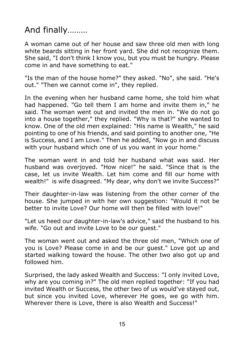# And finally………

A woman came out of her house and saw three old men with long white beards sitting in her front vard. She did not recognize them. She said, "I don't think I know you, but you must be hungry. Please come in and have something to eat."

"Is the man of the house home?" they asked. "No", she said. "He's out." "Then we cannot come in", they replied.

In the evening when her husband came home, she told him what had happened. "Go tell them I am home and invite them in," he said. The woman went out and invited the men in. "We do not go into a house together," they replied. "Why is that?" she wanted to know. One of the old men explained: "His name is Wealth," he said pointing to one of his friends, and said pointing to another one, "He is Success, and I am Love." Then he added, "Now go in and discuss with your husband which one of us you want in your home."

The woman went in and told her husband what was said. Her husband was overjoyed. "How nice!" he said. "Since that is the case, let us invite Wealth. Let him come and fill our home with wealth!" is wife disagreed. "My dear, why don't we invite Success?"

Their daughter-in-law was listening from the other corner of the house. She jumped in with her own suggestion: "Would it not be better to invite Love? Our home will then be filled with love!"

"Let us heed our daughter-in-law's advice," said the husband to his wife. "Go out and invite Love to be our guest."

The woman went out and asked the three old men, "Which one of you is Love? Please come in and be our guest." Love got up and started walking toward the house. The other two also got up and followed him.

Surprised, the lady asked Wealth and Success: "I only invited Love, why are you coming in?" The old men replied together: "If you had invited Wealth or Success, the other two of us would've stayed out, but since you invited Love, wherever He goes, we go with him. Wherever there is Love, there is also Wealth and Success!"